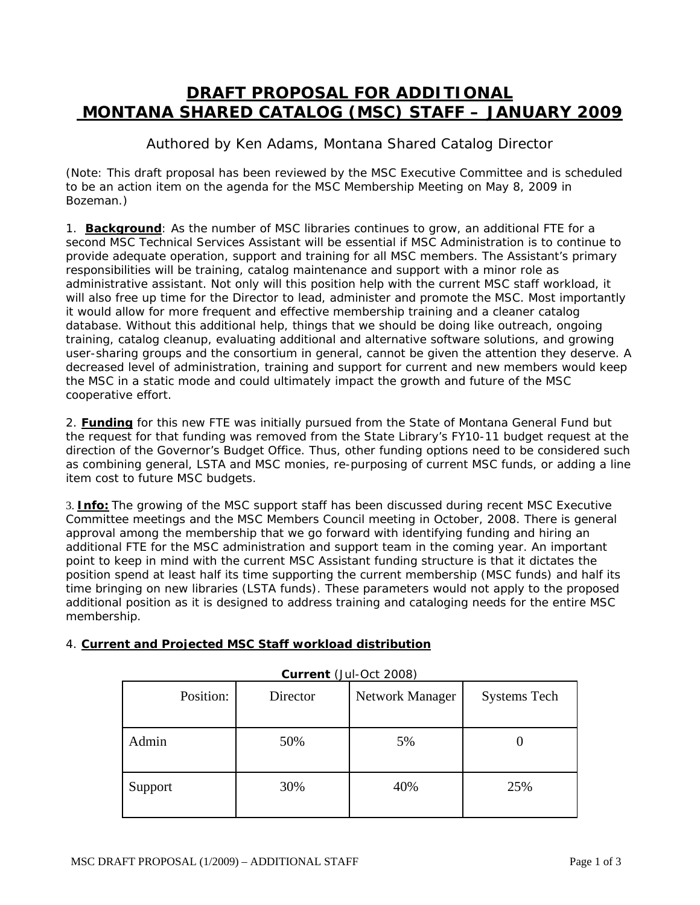## **DRAFT PROPOSAL FOR ADDITIONAL MONTANA SHARED CATALOG (MSC) STAFF – JANUARY 2009**

Authored by Ken Adams, Montana Shared Catalog Director

(Note: This draft proposal has been reviewed by the MSC Executive Committee and is scheduled to be an action item on the agenda for the MSC Membership Meeting on May 8, 2009 in Bozeman.)

1. **Background**: As the number of MSC libraries continues to grow, an additional FTE for a second MSC Technical Services Assistant will be essential if MSC Administration is to continue to provide adequate operation, support and training for all MSC members. The Assistant's primary responsibilities will be training, catalog maintenance and support with a minor role as administrative assistant. Not only will this position help with the current MSC staff workload, it will also free up time for the Director to lead, administer and promote the MSC. Most importantly it would allow for more frequent and effective membership training and a cleaner catalog database. Without this additional help, things that we should be doing like outreach, ongoing training, catalog cleanup, evaluating additional and alternative software solutions, and growing user-sharing groups and the consortium in general, cannot be given the attention they deserve. A decreased level of administration, training and support for current and new members would keep the MSC in a static mode and could ultimately impact the growth and future of the MSC cooperative effort.

2. **Funding** for this new FTE was initially pursued from the State of Montana General Fund but the request for that funding was removed from the State Library's FY10-11 budget request at the direction of the Governor's Budget Office. Thus, other funding options need to be considered such as combining general, LSTA and MSC monies, re-purposing of current MSC funds, or adding a line item cost to future MSC budgets.

3. **Info:** The growing of the MSC support staff has been discussed during recent MSC Executive Committee meetings and the MSC Members Council meeting in October, 2008. There is general approval among the membership that we go forward with identifying funding and hiring an additional FTE for the MSC administration and support team in the coming year. An important point to keep in mind with the current MSC Assistant funding structure is that it dictates the position spend at least half its time supporting the current membership (MSC funds) and half its time bringing on new libraries (LSTA funds). These parameters would not apply to the proposed additional position as it is designed to address training and cataloging needs for the entire MSC membership.

| Position: | Director | Network Manager | <b>Systems Tech</b> |
|-----------|----------|-----------------|---------------------|
| Admin     | 50%      | 5%              |                     |
| Support   | 30%      | 40%             | 25%                 |

**Current** (Jul-Oct 2008)

## 4. **Current and Projected MSC Staff workload distribution**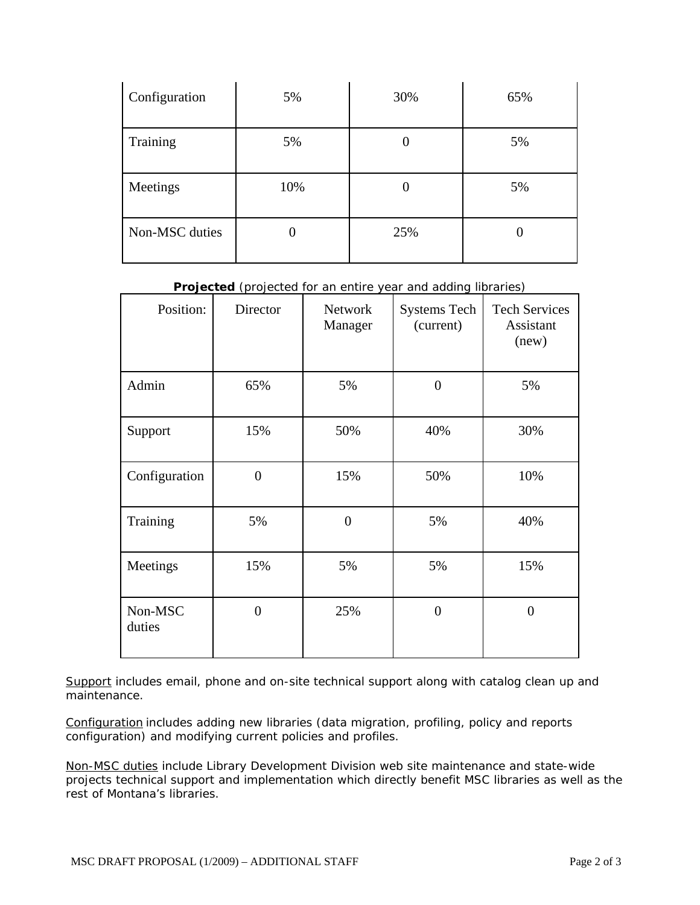| Configuration  | 5%  | 30% | 65% |
|----------------|-----|-----|-----|
| Training       | 5%  |     | 5%  |
| Meetings       | 10% | U   | 5%  |
| Non-MSC duties | U   | 25% |     |

**Projected** (projected for an entire year and adding libraries)

| Position:         | Director       | Network<br>Manager | <b>Systems Tech</b><br>(current) | <b>Tech Services</b><br>Assistant<br>(new) |
|-------------------|----------------|--------------------|----------------------------------|--------------------------------------------|
| Admin             | 65%            | 5%                 | $\overline{0}$                   | 5%                                         |
| Support           | 15%            | 50%                | 40%                              | 30%                                        |
| Configuration     | $\overline{0}$ | 15%                | 50%                              | 10%                                        |
| Training          | 5%             | $\overline{0}$     | 5%                               | 40%                                        |
| Meetings          | 15%            | 5%                 | 5%                               | 15%                                        |
| Non-MSC<br>duties | $\overline{0}$ | 25%                | $\overline{0}$                   | $\Omega$                                   |

Support includes email, phone and on-site technical support along with catalog clean up and maintenance.

Configuration includes adding new libraries (data migration, profiling, policy and reports configuration) and modifying current policies and profiles.

Non-MSC duties include Library Development Division web site maintenance and state-wide projects technical support and implementation which directly benefit MSC libraries as well as the rest of Montana's libraries.